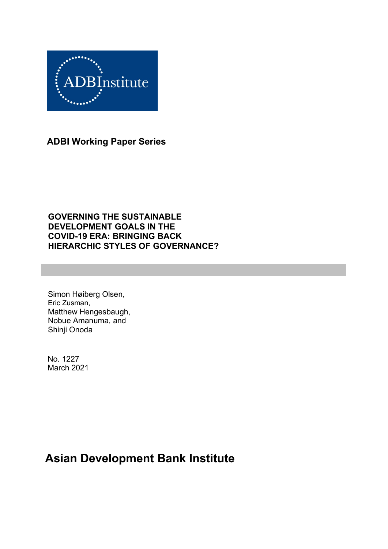

**ADBI Working Paper Series**

### **GOVERNING THE SUSTAINABLE DEVELOPMENT GOALS IN THE COVID-19 ERA: BRINGING BACK HIERARCHIC STYLES OF GOVERNANCE?**

Simon Høiberg Olsen, Eric Zusman, Matthew Hengesbaugh, Nobue Amanuma, and Shinji Onoda

No. 1227 March 2021

# **Asian Development Bank Institute**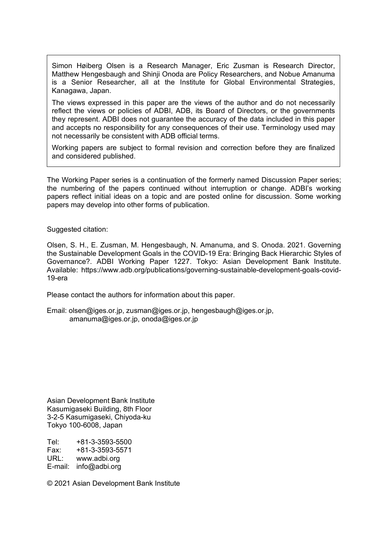Simon Høiberg Olsen is a Research Manager, Eric Zusman is Research Director, Matthew Hengesbaugh and Shinji Onoda are Policy Researchers, and Nobue Amanuma is a Senior Researcher, all at the Institute for Global Environmental Strategies, Kanagawa, Japan.

The views expressed in this paper are the views of the author and do not necessarily reflect the views or policies of ADBI, ADB, its Board of Directors, or the governments they represent. ADBI does not guarantee the accuracy of the data included in this paper and accepts no responsibility for any consequences of their use. Terminology used may not necessarily be consistent with ADB official terms.

Working papers are subject to formal revision and correction before they are finalized and considered published.

The Working Paper series is a continuation of the formerly named Discussion Paper series; the numbering of the papers continued without interruption or change. ADBI's working papers reflect initial ideas on a topic and are posted online for discussion. Some working papers may develop into other forms of publication.

Suggested citation:

Olsen, S. H., E. Zusman, M. Hengesbaugh, N. Amanuma, and S. Onoda. 2021. Governing the Sustainable Development Goals in the COVID-19 Era: Bringing Back Hierarchic Styles of Governance?. ADBI Working Paper 1227. Tokyo: Asian Development Bank Institute. Available: https://www.adb.org/publications/governing-sustainable-development-goals-covid-19-era

Please contact the authors for information about this paper.

Email: olsen@iges.or.jp, zusman@iges.or.jp, hengesbaugh@iges.or.jp, amanuma@iges.or.jp, onoda@iges.or.jp

Asian Development Bank Institute Kasumigaseki Building, 8th Floor 3-2-5 Kasumigaseki, Chiyoda-ku Tokyo 100-6008, Japan

Tel: +81-3-3593-5500 Fax: +81-3-3593-5571 URL: www.adbi.org E-mail: info@adbi.org

© 2021 Asian Development Bank Institute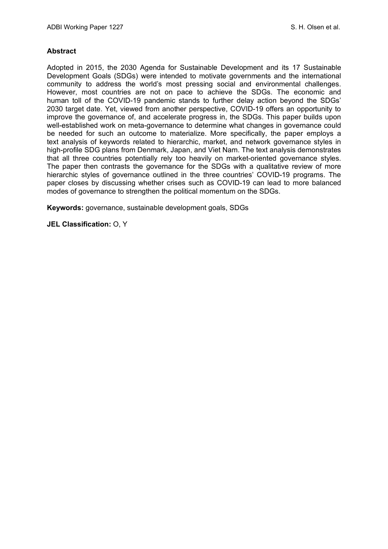#### **Abstract**

Adopted in 2015, the 2030 Agenda for Sustainable Development and its 17 Sustainable Development Goals (SDGs) were intended to motivate governments and the international community to address the world's most pressing social and environmental challenges. However, most countries are not on pace to achieve the SDGs. The economic and human toll of the COVID-19 pandemic stands to further delay action beyond the SDGs' 2030 target date. Yet, viewed from another perspective, COVID-19 offers an opportunity to improve the governance of, and accelerate progress in, the SDGs. This paper builds upon well-established work on meta-governance to determine what changes in governance could be needed for such an outcome to materialize. More specifically, the paper employs a text analysis of keywords related to hierarchic, market, and network governance styles in high-profile SDG plans from Denmark, Japan, and Viet Nam. The text analysis demonstrates that all three countries potentially rely too heavily on market-oriented governance styles. The paper then contrasts the governance for the SDGs with a qualitative review of more hierarchic styles of governance outlined in the three countries' COVID-19 programs. The paper closes by discussing whether crises such as COVID-19 can lead to more balanced modes of governance to strengthen the political momentum on the SDGs.

**Keywords:** governance, sustainable development goals, SDGs

**JEL Classification:** O, Y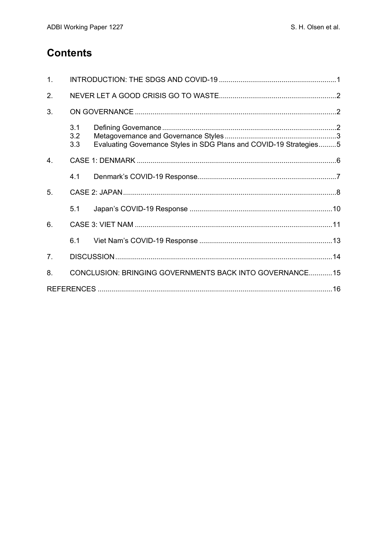# **Contents**

| 1 <sub>1</sub> |                   |                                                                    |  |
|----------------|-------------------|--------------------------------------------------------------------|--|
| 2.             |                   |                                                                    |  |
| 3.             |                   |                                                                    |  |
|                | 3.1<br>3.2<br>3.3 | Evaluating Governance Styles in SDG Plans and COVID-19 Strategies5 |  |
| 4.             |                   |                                                                    |  |
|                | 4.1               |                                                                    |  |
| 5.             |                   |                                                                    |  |
|                | 5.1               |                                                                    |  |
| 6.             |                   |                                                                    |  |
|                | 6.1               |                                                                    |  |
| 7 <sub>1</sub> |                   |                                                                    |  |
| 8.             |                   | CONCLUSION: BRINGING GOVERNMENTS BACK INTO GOVERNANCE15            |  |
|                |                   |                                                                    |  |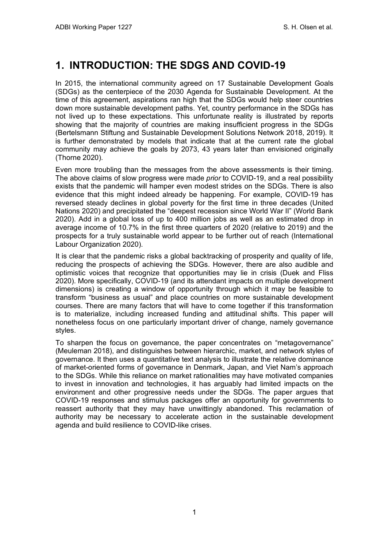# <span id="page-4-0"></span>**1. INTRODUCTION: THE SDGS AND COVID-19**

In 2015, the international community agreed on 17 Sustainable Development Goals (SDGs) as the centerpiece of the 2030 Agenda for Sustainable Development. At the time of this agreement, aspirations ran high that the SDGs would help steer countries down more sustainable development paths. Yet, country performance in the SDGs has not lived up to these expectations. This unfortunate reality is illustrated by reports showing that the majority of countries are making insufficient progress in the SDGs (Bertelsmann Stiftung and Sustainable Development Solutions Network 2018, 2019). It is further demonstrated by models that indicate that at the current rate the global community may achieve the goals by 2073, 43 years later than envisioned originally (Thorne 2020).

Even more troubling than the messages from the above assessments is their timing. The above claims of slow progress were made *prior* to COVID-19, and a real possibility exists that the pandemic will hamper even modest strides on the SDGs. There is also evidence that this might indeed already be happening. For example, COVID-19 has reversed steady declines in global poverty for the first time in three decades (United Nations 2020) and precipitated the "deepest recession since World War II" (World Bank 2020). Add in a global loss of up to 400 million jobs as well as an estimated drop in average income of 10.7% in the first three quarters of 2020 (relative to 2019) and the prospects for a truly sustainable world appear to be further out of reach (International Labour Organization 2020).

It is clear that the pandemic risks a global backtracking of prosperity and quality of life, reducing the prospects of achieving the SDGs. However, there are also audible and optimistic voices that recognize that opportunities may lie in crisis (Duek and Fliss 2020). More specifically, COVID-19 (and its attendant impacts on multiple development dimensions) is creating a window of opportunity through which it may be feasible to transform "business as usual" and place countries on more sustainable development courses. There are many factors that will have to come together if this transformation is to materialize, including increased funding and attitudinal shifts. This paper will nonetheless focus on one particularly important driver of change, namely governance styles.

To sharpen the focus on governance, the paper concentrates on "metagovernance" (Meuleman 2018), and distinguishes between hierarchic, market, and network styles of governance. It then uses a quantitative text analysis to illustrate the relative dominance of market-oriented forms of governance in Denmark, Japan, and Viet Nam's approach to the SDGs. While this reliance on market rationalities may have motivated companies to invest in innovation and technologies, it has arguably had limited impacts on the environment and other progressive needs under the SDGs. The paper argues that COVID-19 responses and stimulus packages offer an opportunity for governments to reassert authority that they may have unwittingly abandoned. This reclamation of authority may be necessary to accelerate action in the sustainable development agenda and build resilience to COVID-like crises.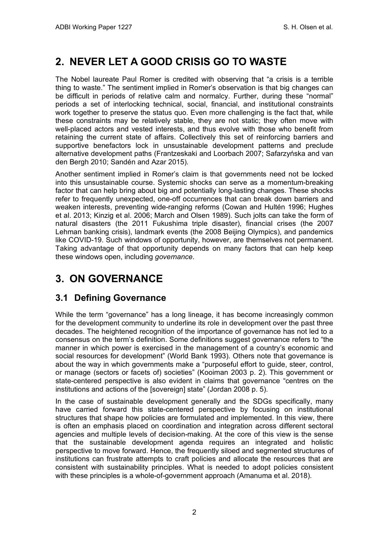# <span id="page-5-0"></span>**2. NEVER LET A GOOD CRISIS GO TO WASTE**

The Nobel laureate Paul Romer is credited with observing that "a crisis is a terrible thing to waste." The sentiment implied in Romer's observation is that big changes can be difficult in periods of relative calm and normalcy. Further, during these "normal" periods a set of interlocking technical, social, financial, and institutional constraints work together to preserve the status quo. Even more challenging is the fact that, while these constraints may be relatively stable, they are not static; they often move with well-placed actors and vested interests, and thus evolve with those who benefit from retaining the current state of affairs. Collectively this set of reinforcing barriers and supportive benefactors lock in unsustainable development patterns and preclude alternative development paths (Frantzeskaki and Loorbach 2007; Safarzyńska and van den Bergh 2010; Sandén and Azar 2015).

Another sentiment implied in Romer's claim is that governments need not be locked into this unsustainable course. Systemic shocks can serve as a momentum-breaking factor that can help bring about big and potentially long-lasting changes. These shocks refer to frequently unexpected, one-off occurrences that can break down barriers and weaken interests, preventing wide-ranging reforms (Cowan and Hultén 1996; Hughes et al. 2013; Kinzig et al. 2006; March and Olsen 1989). Such jolts can take the form of natural disasters (the 2011 Fukushima triple disaster), financial crises (the 2007 Lehman banking crisis), landmark events (the 2008 Beijing Olympics), and pandemics like COVID-19. Such windows of opportunity, however, are themselves not permanent. Taking advantage of that opportunity depends on many factors that can help keep these windows open, including *governance*.

# <span id="page-5-1"></span>**3. ON GOVERNANCE**

## <span id="page-5-2"></span>**3.1 Defining Governance**

While the term "governance" has a long lineage, it has become increasingly common for the development community to underline its role in development over the past three decades. The heightened recognition of the importance of governance has not led to a consensus on the term's definition. Some definitions suggest governance refers to "the manner in which power is exercised in the management of a country's economic and social resources for development" (World Bank 1993). Others note that governance is about the way in which governments make a "purposeful effort to guide, steer, control, or manage (sectors or facets of) societies" (Kooiman 2003 p. 2). This government or state-centered perspective is also evident in claims that governance "centres on the institutions and actions of the [sovereign] state" (Jordan 2008 p. 5).

In the case of sustainable development generally and the SDGs specifically, many have carried forward this state-centered perspective by focusing on institutional structures that shape how policies are formulated and implemented. In this view, there is often an emphasis placed on coordination and integration across different sectoral agencies and multiple levels of decision-making. At the core of this view is the sense that the sustainable development agenda requires an integrated and holistic perspective to move forward. Hence, the frequently siloed and segmented structures of institutions can frustrate attempts to craft policies and allocate the resources that are consistent with sustainability principles. What is needed to adopt policies consistent with these principles is a whole-of-government approach (Amanuma et al. 2018).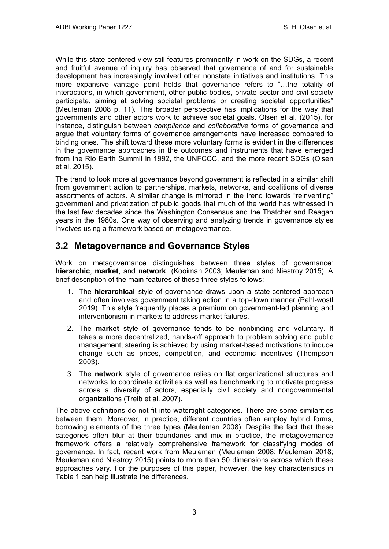While this state-centered view still features prominently in work on the SDGs, a recent and fruitful avenue of inquiry has observed that governance of and for sustainable development has increasingly involved other nonstate initiatives and institutions. This more expansive vantage point holds that governance refers to "…the totality of interactions, in which government, other public bodies, private sector and civil society participate, aiming at solving societal problems or creating societal opportunities" (Meuleman 2008 p. 11). This broader perspective has implications for the way that governments and other actors work to achieve societal goals. Olsen et al. (2015), for instance, distinguish between *compliance* and *collaborative* forms of governance and argue that voluntary forms of governance arrangements have increased compared to binding ones. The shift toward these more voluntary forms is evident in the differences in the governance approaches in the outcomes and instruments that have emerged from the Rio Earth Summit in 1992, the UNFCCC, and the more recent SDGs (Olsen et al. 2015).

The trend to look more at governance beyond government is reflected in a similar shift from government action to partnerships, markets, networks, and coalitions of diverse assortments of actors. A similar change is mirrored in the trend towards "reinventing" government and privatization of public goods that much of the world has witnessed in the last few decades since the Washington Consensus and the Thatcher and Reagan years in the 1980s. One way of observing and analyzing trends in governance styles involves using a framework based on metagovernance.

## <span id="page-6-0"></span>**3.2 Metagovernance and Governance Styles**

Work on metagovernance distinguishes between three styles of governance: **hierarchic**, **market**, and **network** (Kooiman 2003; Meuleman and Niestroy 2015). A brief description of the main features of these three styles follows:

- 1. The **hierarchical** style of governance draws upon a state-centered approach and often involves government taking action in a top-down manner (Pahl-wostl 2019). This style frequently places a premium on government-led planning and interventionism in markets to address market failures.
- 2. The **market** style of governance tends to be nonbinding and voluntary. It takes a more decentralized, hands-off approach to problem solving and public management; steering is achieved by using market-based motivations to induce change such as prices, competition, and economic incentives (Thompson 2003).
- 3. The **network** style of governance relies on flat organizational structures and networks to coordinate activities as well as benchmarking to motivate progress across a diversity of actors, especially civil society and nongovernmental organizations (Treib et al. 2007).

The above definitions do not fit into watertight categories. There are some similarities between them. Moreover, in practice, different countries often employ hybrid forms, borrowing elements of the three types (Meuleman 2008). Despite the fact that these categories often blur at their boundaries and mix in practice, the metagovernance framework offers a relatively comprehensive framework for classifying modes of governance. In fact, recent work from Meuleman (Meuleman 2008; Meuleman 2018; Meuleman and Niestroy 2015) points to more than 50 dimensions across which these approaches vary. For the purposes of this paper, however, the key characteristics in Table 1 can help illustrate the differences.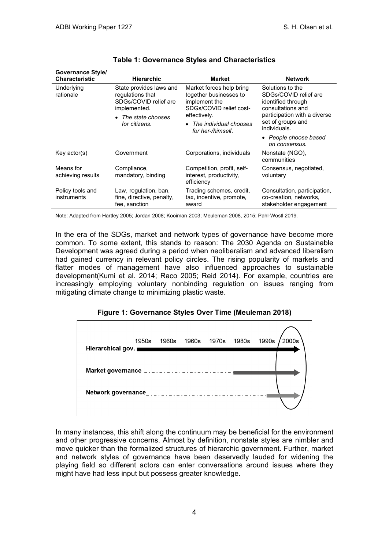| Governance Style/<br><b>Characteristic</b> | <b>Hierarchic</b>                                                                    | <b>Market</b>                                                                                  | <b>Network</b>                                                                       |  |
|--------------------------------------------|--------------------------------------------------------------------------------------|------------------------------------------------------------------------------------------------|--------------------------------------------------------------------------------------|--|
| Underlying<br>rationale                    | State provides laws and<br>regulations that<br>SDGs/COVID relief are<br>implemented. | Market forces help bring<br>together businesses to<br>implement the<br>SDGs/COVID relief cost- | Solutions to the<br>SDGs/COVID relief are<br>identified through<br>consultations and |  |
|                                            | • The state chooses<br>for citizens.                                                 | effectively.                                                                                   | participation with a diverse                                                         |  |
|                                            |                                                                                      | • The individual chooses<br>for her-/himself.                                                  | set of groups and<br>individuals.                                                    |  |
|                                            |                                                                                      |                                                                                                | • People choose based<br>on consensus.                                               |  |
| Key actor(s)                               | Government                                                                           | Corporations, individuals                                                                      | Nonstate (NGO),<br>communities                                                       |  |
| Means for<br>achieving results             | Compliance,<br>mandatory, binding                                                    | Competition, profit, self-<br>interest, productivity,<br>efficiency                            | Consensus, negotiated,<br>voluntary                                                  |  |
| Policy tools and<br>instruments            | Law, regulation, ban,<br>fine, directive, penalty,<br>fee, sanction                  | Trading schemes, credit,<br>tax, incentive, promote,<br>award                                  | Consultation, participation,<br>co-creation, networks,<br>stakeholder engagement     |  |

#### **Table 1: Governance Styles and Characteristics**

Note: Adapted from Hartley 2005; Jordan 2008; Kooiman 2003; Meuleman 2008, 2015; Pahl-Wostl 2019.

In the era of the SDGs, market and network types of governance have become more common. To some extent, this stands to reason: The 2030 Agenda on Sustainable Development was agreed during a period when neoliberalism and advanced liberalism had gained currency in relevant policy circles. The rising popularity of markets and flatter modes of management have also influenced approaches to sustainable development(Kumi et al. 2014; Raco 2005; Reid 2014). For example, countries are increasingly employing voluntary nonbinding regulation on issues ranging from mitigating climate change to minimizing plastic waste.

#### **Figure 1: Governance Styles Over Time (Meuleman 2018)**

| 1950s<br>Hierarchical gov. | 1960s 1960s 1970s 1980s |   | 1990s | 2000s |
|----------------------------|-------------------------|---|-------|-------|
|                            |                         |   |       |       |
| Network governance         | .                       | . |       |       |

In many instances, this shift along the continuum may be beneficial for the environment and other progressive concerns. Almost by definition, nonstate styles are nimbler and move quicker than the formalized structures of hierarchic government. Further, market and network styles of governance have been deservedly lauded for widening the playing field so different actors can enter conversations around issues where they might have had less input but possess greater knowledge.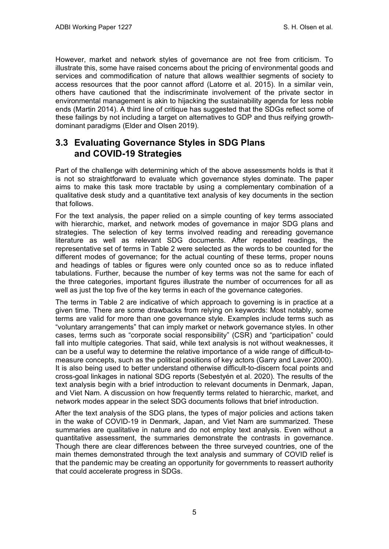However, market and network styles of governance are not free from criticism. To illustrate this, some have raised concerns about the pricing of environmental goods and services and commodification of nature that allows wealthier segments of society to access resources that the poor cannot afford (Latorre et al. 2015). In a similar vein, others have cautioned that the indiscriminate involvement of the private sector in environmental management is akin to hijacking the sustainability agenda for less noble ends (Martin 2014). A third line of critique has suggested that the SDGs reflect some of these failings by not including a target on alternatives to GDP and thus reifying growthdominant paradigms (Elder and Olsen 2019).

## <span id="page-8-0"></span>**3.3 Evaluating Governance Styles in SDG Plans and COVID-19 Strategies**

Part of the challenge with determining which of the above assessments holds is that it is not so straightforward to evaluate which governance styles dominate. The paper aims to make this task more tractable by using a complementary combination of a qualitative desk study and a quantitative text analysis of key documents in the section that follows.

For the text analysis, the paper relied on a simple counting of key terms associated with hierarchic, market, and network modes of governance in major SDG plans and strategies. The selection of key terms involved reading and rereading governance literature as well as relevant SDG documents. After repeated readings, the representative set of terms in Table 2 were selected as the words to be counted for the different modes of governance; for the actual counting of these terms, proper nouns and headings of tables or figures were only counted once so as to reduce inflated tabulations. Further, because the number of key terms was not the same for each of the three categories, important figures illustrate the number of occurrences for all as well as just the top five of the key terms in each of the governance categories.

The terms in Table 2 are indicative of which approach to governing is in practice at a given time. There are some drawbacks from relying on keywords: Most notably, some terms are valid for more than one governance style. Examples include terms such as "voluntary arrangements" that can imply market or network governance styles. In other cases, terms such as "corporate social responsibility" (CSR) and "participation" could fall into multiple categories. That said, while text analysis is not without weaknesses, it can be a useful way to determine the relative importance of a wide range of difficult-tomeasure concepts, such as the political positions of key actors (Garry and Laver 2000). It is also being used to better understand otherwise difficult-to-discern focal points and cross-goal linkages in national SDG reports (Sebestyén et al. 2020). The results of the text analysis begin with a brief introduction to relevant documents in Denmark, Japan, and Viet Nam. A discussion on how frequently terms related to hierarchic, market, and network modes appear in the select SDG documents follows that brief introduction.

After the text analysis of the SDG plans, the types of major policies and actions taken in the wake of COVID-19 in Denmark, Japan, and Viet Nam are summarized. These summaries are qualitative in nature and do not employ text analysis. Even without a quantitative assessment, the summaries demonstrate the contrasts in governance. Though there are clear differences between the three surveyed countries, one of the main themes demonstrated through the text analysis and summary of COVID relief is that the pandemic may be creating an opportunity for governments to reassert authority that could accelerate progress in SDGs.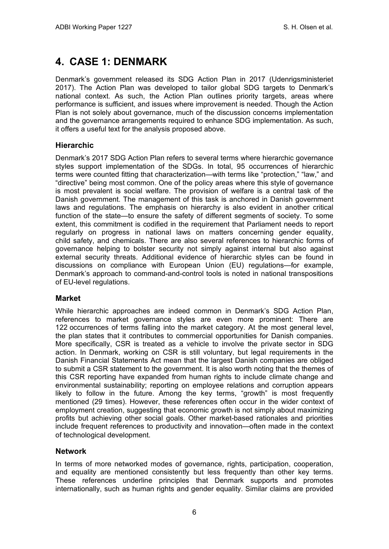# <span id="page-9-0"></span>**4. CASE 1: DENMARK**

Denmark's government released its SDG Action Plan in 2017 (Udenrigsministeriet 2017). The Action Plan was developed to tailor global SDG targets to Denmark's national context. As such, the Action Plan outlines priority targets, areas where performance is sufficient, and issues where improvement is needed. Though the Action Plan is not solely about governance, much of the discussion concerns implementation and the governance arrangements required to enhance SDG implementation. As such, it offers a useful text for the analysis proposed above.

### **Hierarchic**

Denmark's 2017 SDG Action Plan refers to several terms where hierarchic governance styles support implementation of the SDGs. In total, 95 occurrences of hierarchic terms were counted fitting that characterization—with terms like "protection," "law," and "directive" being most common. One of the policy areas where this style of governance is most prevalent is social welfare. The provision of welfare is a central task of the Danish government. The management of this task is anchored in Danish government laws and regulations. The emphasis on hierarchy is also evident in another critical function of the state—to ensure the safety of different segments of society. To some extent, this commitment is codified in the requirement that Parliament needs to report regularly on progress in national laws on matters concerning gender equality, child safety, and chemicals. There are also several references to hierarchic forms of governance helping to bolster security not simply against internal but also against external security threats. Additional evidence of hierarchic styles can be found in discussions on compliance with European Union (EU) regulations—for example, Denmark's approach to command-and-control tools is noted in national transpositions of EU-level regulations.

#### **Market**

While hierarchic approaches are indeed common in Denmark's SDG Action Plan, references to market governance styles are even more prominent: There are 122 occurrences of terms falling into the market category. At the most general level, the plan states that it contributes to commercial opportunities for Danish companies. More specifically, CSR is treated as a vehicle to involve the private sector in SDG action. In Denmark, working on CSR is still voluntary, but legal requirements in the Danish Financial Statements Act mean that the largest Danish companies are obliged to submit a CSR statement to the government. It is also worth noting that the themes of this CSR reporting have expanded from human rights to include climate change and environmental sustainability; reporting on employee relations and corruption appears likely to follow in the future. Among the key terms, "growth" is most frequently mentioned (29 times). However, these references often occur in the wider context of employment creation, suggesting that economic growth is not simply about maximizing profits but achieving other social goals. Other market-based rationales and priorities include frequent references to productivity and innovation—often made in the context of technological development.

#### **Network**

In terms of more networked modes of governance, rights, participation, cooperation, and equality are mentioned consistently but less frequently than other key terms. These references underline principles that Denmark supports and promotes internationally, such as human rights and gender equality. Similar claims are provided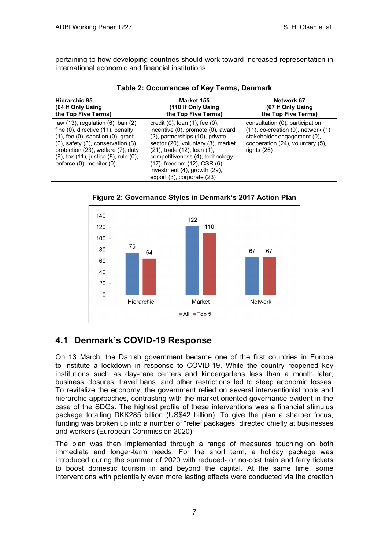pertaining to how developing countries should work toward increased representation in international economic and financial institutions.

| Hierarchic 95<br>(64 If Only Using<br>the Top Five Terms)                                                                                                                                                                                                                                           | Market 155<br>(110 If Only Using<br>the Top Five Terms)                                                                                                                                                                                                                                                               | Network 67<br>(67 If Only Using<br>the Top Five Terms)                                                                                                              |  |  |
|-----------------------------------------------------------------------------------------------------------------------------------------------------------------------------------------------------------------------------------------------------------------------------------------------------|-----------------------------------------------------------------------------------------------------------------------------------------------------------------------------------------------------------------------------------------------------------------------------------------------------------------------|---------------------------------------------------------------------------------------------------------------------------------------------------------------------|--|--|
| law $(13)$ , regulation $(6)$ , ban $(2)$ ,<br>fine $(0)$ , directive $(11)$ , penalty<br>$(1)$ , fee $(0)$ , sanction $(0)$ , grant<br>$(0)$ , safety $(3)$ , conservation $(3)$ ,<br>protection (23), welfare (7), duty<br>(9), tax (11), justice (8), rule (0),<br>enforce $(0)$ , monitor $(0)$ | credit $(0)$ , loan $(1)$ , fee $(0)$ ,<br>incentive (0), promote (0), award<br>(2), partnerships (10), private<br>sector (20), voluntary (3), market<br>(21), trade (12), loan (1),<br>competitiveness (4), technology<br>(17), freedom (12), CSR (6),<br>investment (4), growth (29),<br>export (3), corporate (23) | consultation (0), participation<br>$(11)$ , co-creation $(0)$ , network $(1)$ ,<br>stakeholder engagement (0),<br>cooperation (24), voluntary (5),<br>rights $(26)$ |  |  |

| Table 2: Occurrences of Key Terms, Denmark |  |  |  |
|--------------------------------------------|--|--|--|
|--------------------------------------------|--|--|--|



**Figure 2: Governance Styles in Denmark's 2017 Action Plan**

## <span id="page-10-0"></span>**4.1 Denmark's COVID-19 Response**

On 13 March, the Danish government became one of the first countries in Europe to institute a lockdown in response to COVID-19. While the country reopened key institutions such as day-care centers and kindergartens less than a month later, business closures, travel bans, and other restrictions led to steep economic losses. To revitalize the economy, the government relied on several interventionist tools and hierarchic approaches, contrasting with the market-oriented governance evident in the case of the SDGs. The highest profile of these interventions was a financial stimulus package totalling DKK285 billion (US\$42 billion). To give the plan a sharper focus, funding was broken up into a number of "relief packages" directed chiefly at businesses and workers (European Commission 2020).

The plan was then implemented through a range of measures touching on both immediate and longer-term needs. For the short term, a holiday package was introduced during the summer of 2020 with reduced- or no-cost train and ferry tickets to boost domestic tourism in and beyond the capital. At the same time, some interventions with potentially even more lasting effects were conducted via the creation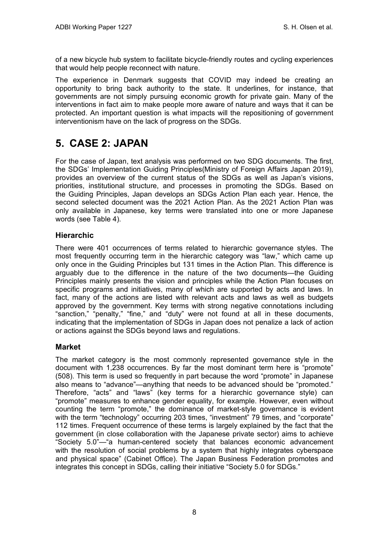of a new bicycle hub system to facilitate bicycle-friendly routes and cycling experiences that would help people reconnect with nature.

The experience in Denmark suggests that COVID may indeed be creating an opportunity to bring back authority to the state. It underlines, for instance, that governments are not simply pursuing economic growth for private gain. Many of the interventions in fact aim to make people more aware of nature and ways that it can be protected. An important question is what impacts will the repositioning of government interventionism have on the lack of progress on the SDGs.

# <span id="page-11-0"></span>**5. CASE 2: JAPAN**

For the case of Japan, text analysis was performed on two SDG documents. The first, the SDGs' Implementation Guiding Principles(Ministry of Foreign Affairs Japan 2019), provides an overview of the current status of the SDGs as well as Japan's visions, priorities, institutional structure, and processes in promoting the SDGs. Based on the Guiding Principles, Japan develops an SDGs Action Plan each year. Hence, the second selected document was the 2021 Action Plan. As the 2021 Action Plan was only available in Japanese, key terms were translated into one or more Japanese words (see Table 4).

### **Hierarchic**

There were 401 occurrences of terms related to hierarchic governance styles. The most frequently occurring term in the hierarchic category was "law," which came up only once in the Guiding Principles but 131 times in the Action Plan. This difference is arguably due to the difference in the nature of the two documents—the Guiding Principles mainly presents the vision and principles while the Action Plan focuses on specific programs and initiatives, many of which are supported by acts and laws. In fact, many of the actions are listed with relevant acts and laws as well as budgets approved by the government. Key terms with strong negative connotations including "sanction," "penalty," "fine," and "duty" were not found at all in these documents, indicating that the implementation of SDGs in Japan does not penalize a lack of action or actions against the SDGs beyond laws and regulations.

#### **Market**

The market category is the most commonly represented governance style in the document with 1,238 occurrences. By far the most dominant term here is "promote" (508). This term is used so frequently in part because the word "promote" in Japanese also means to "advance"—anything that needs to be advanced should be "promoted." Therefore, "acts" and "laws" (key terms for a hierarchic governance style) can "promote" measures to enhance gender equality, for example. However, even without counting the term "promote," the dominance of market-style governance is evident with the term "technology" occurring 203 times, "investment" 79 times, and "corporate" 112 times. Frequent occurrence of these terms is largely explained by the fact that the government (in close collaboration with the Japanese private sector) aims to achieve "Society 5.0"—"a human-centered society that balances economic advancement with the resolution of social problems by a system that highly integrates cyberspace and physical space" (Cabinet Office). The Japan Business Federation promotes and integrates this concept in SDGs, calling their initiative "Society 5.0 for SDGs."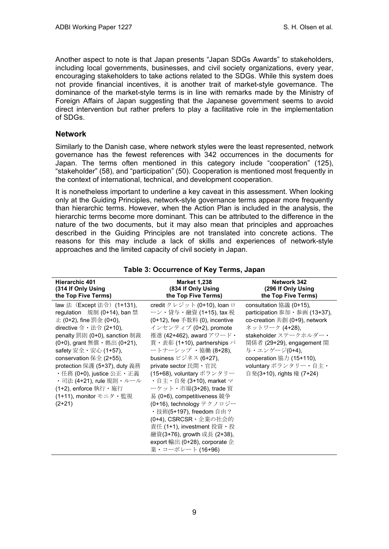Another aspect to note is that Japan presents "Japan SDGs Awards" to stakeholders, including local governments, businesses, and civil society organizations, every year, encouraging stakeholders to take actions related to the SDGs. While this system does not provide financial incentives, it is another trait of market-style governance. The dominance of the market-style terms is in line with remarks made by the Ministry of Foreign Affairs of Japan suggesting that the Japanese government seems to avoid direct intervention but rather prefers to play a facilitative role in the implementation of SDGs.

#### **Network**

Similarly to the Danish case, where network styles were the least represented, network governance has the fewest references with 342 occurrences in the documents for Japan. The terms often mentioned in this category include "cooperation" (125), "stakeholder" (58), and "participation" (50). Cooperation is mentioned most frequently in the context of international, technical, and development cooperation.

It is nonetheless important to underline a key caveat in this assessment. When looking only at the Guiding Principles, network-style governance terms appear more frequently than hierarchic terms. However, when the Action Plan is included in the analysis, the hierarchic terms become more dominant. This can be attributed to the difference in the nature of the two documents, but it may also mean that principles and approaches described in the Guiding Principles are not translated into concrete actions. The reasons for this may include a lack of skills and experiences of network-style approaches and the limited capacity of civil society in Japan.

| <b>Hierarchic 401</b>                                                                                                                                                                                                                                                                                                                                                                                   | <b>Market 1,238</b>                                                                                                                                                                                                                                                                                                                                                                                                                                                                                                                                                                          | Network 342                                                                                                                                                                                                                                                        |
|---------------------------------------------------------------------------------------------------------------------------------------------------------------------------------------------------------------------------------------------------------------------------------------------------------------------------------------------------------------------------------------------------------|----------------------------------------------------------------------------------------------------------------------------------------------------------------------------------------------------------------------------------------------------------------------------------------------------------------------------------------------------------------------------------------------------------------------------------------------------------------------------------------------------------------------------------------------------------------------------------------------|--------------------------------------------------------------------------------------------------------------------------------------------------------------------------------------------------------------------------------------------------------------------|
| (314 If Only Using                                                                                                                                                                                                                                                                                                                                                                                      | (834 If Only Using                                                                                                                                                                                                                                                                                                                                                                                                                                                                                                                                                                           | (296 If Only Using                                                                                                                                                                                                                                                 |
| the Top Five Terms)                                                                                                                                                                                                                                                                                                                                                                                     | the Top Five Terms)                                                                                                                                                                                                                                                                                                                                                                                                                                                                                                                                                                          | the Top Five Terms)                                                                                                                                                                                                                                                |
| law 法 (Except 法令) (1+131),<br>regulation 規制 (0+14), ban 禁<br>止 (0+2), fine 罰金 (0+0),<br>directive 令 $\cdot$ 法令 (2+10),<br>penalty 罰則 (0+0), sanction 制裁<br>(0+0), grant 無償 ・ 拠出 (0+21),<br>safety 安全・安心 (1+57),<br>conservation 保全 (2+55),<br>protection 保護 (5+37), duty 義務<br>・任務 (0+0), justice 公正・正義<br>・司法 (4+21), rule 規則・ルール<br><b>(1+2), enforce</b> 執行・施行<br>(1+11), monitor モニタ・監視<br>$(2+21)$ | credit クレジット (0+10), loan ロ<br>ーン・貸与・融資 (1+15), tax 税<br>(0+12), fee 手数料 (0), incentive<br>インセンティブ (0+2), promote<br>推進 (42+462), award アワード・<br>賞・表彰 (1+10), partnerships パ<br>ートナーシップ ・協働 (8+28),<br>business ビジネス (6+27),<br>private sector 民間 · 官民<br>(15+68), voluntary ボランタリー<br>・自主・自発 (3+10), market マ<br>ーケット・市場(3+26), trade 貿<br>易 (0+6), competitiveness 競争<br>(0+16), technology テクノロジー<br>・技術(5+197), freedom 自由 ?<br>(0+4), CSRCSR · 企業の社会的<br>責任 (1+1), investment 投資・投<br>融資(3+76), growth 成長 (2+38),<br>export 輸出 (0+28), corporate $\hat{\mathbb{E}}$<br>業・コーポレート (16+96) | consultation 協議 (0+15),<br>participation 参加・参画 (13+37),<br>co-creation 共創 (0+9), network<br>ネットワーク (4+28),<br>stakeholder ステークホルダー・<br>関係者 (29+29), engagement 関<br>与・エンゲージ(0+4),<br>cooperation 協力 (15+110),<br>voluntary ボランタリー・自主・<br>自発(3+10), rights 権 (7+24) |

#### **Table 3: Occurrence of Key Terms, Japan**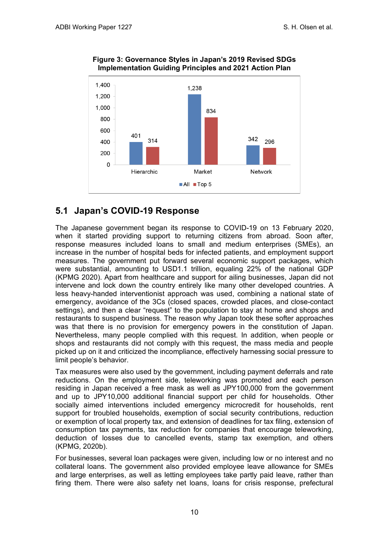

**Figure 3: Governance Styles in Japan's 2019 Revised SDGs Implementation Guiding Principles and 2021 Action Plan**

## <span id="page-13-0"></span>**5.1 Japan's COVID-19 Response**

The Japanese government began its response to COVID-19 on 13 February 2020, when it started providing support to returning citizens from abroad. Soon after, response measures included loans to small and medium enterprises (SMEs), an increase in the number of hospital beds for infected patients, and employment support measures. The government put forward several economic support packages, which were substantial, amounting to USD1.1 trillion, equaling 22% of the national GDP (KPMG 2020). Apart from healthcare and support for ailing businesses, Japan did not intervene and lock down the country entirely like many other developed countries. A less heavy-handed interventionist approach was used, combining a national state of emergency, avoidance of the 3Cs (closed spaces, crowded places, and close-contact settings), and then a clear "request" to the population to stay at home and shops and restaurants to suspend business. The reason why Japan took these softer approaches was that there is no provision for emergency powers in the constitution of Japan. Nevertheless, many people complied with this request. In addition, when people or shops and restaurants did not comply with this request, the mass media and people picked up on it and criticized the incompliance, effectively harnessing social pressure to limit people's behavior.

Tax measures were also used by the government, including payment deferrals and rate reductions. On the employment side, teleworking was promoted and each person residing in Japan received a free mask as well as JPY100,000 from the government and up to JPY10,000 additional financial support per child for households. Other socially aimed interventions included emergency microcredit for households, rent support for troubled households, exemption of social security contributions, reduction or exemption of local property tax, and extension of deadlines for tax filing, extension of consumption tax payments, tax reduction for companies that encourage teleworking, deduction of losses due to cancelled events, stamp tax exemption, and others (KPMG, 2020b).

For businesses, several loan packages were given, including low or no interest and no collateral loans. The government also provided employee leave allowance for SMEs and large enterprises, as well as letting employees take partly paid leave, rather than firing them. There were also safety net loans, loans for crisis response, prefectural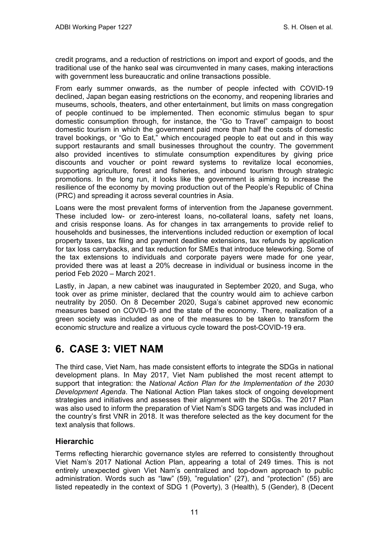credit programs, and a reduction of restrictions on import and export of goods, and the traditional use of the hanko seal was circumvented in many cases, making interactions with government less bureaucratic and online transactions possible.

From early summer onwards, as the number of people infected with COVID-19 declined, Japan began easing restrictions on the economy, and reopening libraries and museums, schools, theaters, and other entertainment, but limits on mass congregation of people continued to be implemented. Then economic stimulus began to spur domestic consumption through, for instance, the "Go to Travel" campaign to boost domestic tourism in which the government paid more than half the costs of domestic travel bookings, or "Go to Eat," which encouraged people to eat out and in this way support restaurants and small businesses throughout the country. The government also provided incentives to stimulate consumption expenditures by giving price discounts and voucher or point reward systems to revitalize local economies, supporting agriculture, forest and fisheries, and inbound tourism through strategic promotions. In the long run, it looks like the government is aiming to increase the resilience of the economy by moving production out of the People's Republic of China (PRC) and spreading it across several countries in Asia.

Loans were the most prevalent forms of intervention from the Japanese government. These included low- or zero-interest loans, no-collateral loans, safety net loans, and crisis response loans. As for changes in tax arrangements to provide relief to households and businesses, the interventions included reduction or exemption of local property taxes, tax filing and payment deadline extensions, tax refunds by application for tax loss carrybacks, and tax reduction for SMEs that introduce teleworking. Some of the tax extensions to individuals and corporate payers were made for one year, provided there was at least a 20% decrease in individual or business income in the period Feb 2020 – March 2021.

Lastly, in Japan, a new cabinet was inaugurated in September 2020, and Suga, who took over as prime minister, declared that the country would aim to achieve carbon neutrality by 2050. On 8 December 2020, Suga's cabinet approved new economic measures based on COVID-19 and the state of the economy. There, realization of a green society was included as one of the measures to be taken to transform the economic structure and realize a virtuous cycle toward the post-COVID-19 era.

# <span id="page-14-0"></span>**6. CASE 3: VIET NAM**

The third case, Viet Nam, has made consistent efforts to integrate the SDGs in national development plans. In May 2017, Viet Nam published the most recent attempt to support that integration: the *National Action Plan for the Implementation of the 2030 Development Agenda*. The National Action Plan takes stock of ongoing development strategies and initiatives and assesses their alignment with the SDGs. The 2017 Plan was also used to inform the preparation of Viet Nam's SDG targets and was included in the country's first VNR in 2018. It was therefore selected as the key document for the text analysis that follows.

### **Hierarchic**

Terms reflecting hierarchic governance styles are referred to consistently throughout Viet Nam's 2017 National Action Plan, appearing a total of 249 times. This is not entirely unexpected given Viet Nam's centralized and top-down approach to public administration. Words such as "law" (59), "regulation" (27), and "protection" (55) are listed repeatedly in the context of SDG 1 (Poverty), 3 (Health), 5 (Gender), 8 (Decent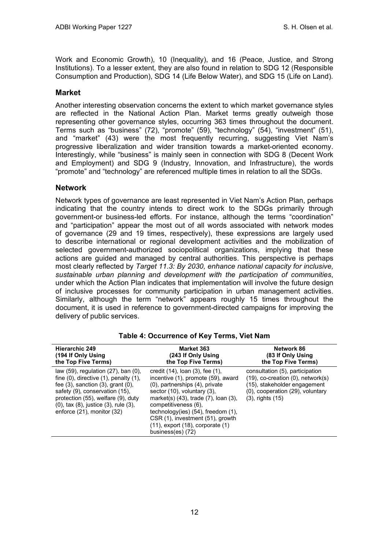Work and Economic Growth), 10 (Inequality), and 16 (Peace, Justice, and Strong Institutions). To a lesser extent, they are also found in relation to SDG 12 (Responsible Consumption and Production), SDG 14 (Life Below Water), and SDG 15 (Life on Land).

#### **Market**

Another interesting observation concerns the extent to which market governance styles are reflected in the National Action Plan. Market terms greatly outweigh those representing other governance styles, occurring 363 times throughout the document. Terms such as "business" (72), "promote" (59), "technology" (54), "investment" (51), and "market" (43) were the most frequently recurring, suggesting Viet Nam's progressive liberalization and wider transition towards a market-oriented economy. Interestingly, while "business" is mainly seen in connection with SDG 8 (Decent Work and Employment) and SDG 9 (Industry, Innovation, and Infrastructure), the words "promote" and "technology" are referenced multiple times in relation to all the SDGs.

#### **Network**

Network types of governance are least represented in Viet Nam's Action Plan, perhaps indicating that the country intends to direct work to the SDGs primarily through government-or business-led efforts. For instance, although the terms "coordination" and "participation" appear the most out of all words associated with network modes of governance (29 and 19 times, respectively), these expressions are largely used to describe international or regional development activities and the mobilization of selected government-authorized sociopolitical organizations, implying that these actions are guided and managed by central authorities. This perspective is perhaps most clearly reflected by *Target 11.3: By 2030, enhance national capacity for inclusive, sustainable urban planning and development with the participation of communities*, under which the Action Plan indicates that implementation will involve the future design of inclusive processes for community participation in urban management activities. Similarly, although the term "network" appears roughly 15 times throughout the document, it is used in reference to government-directed campaigns for improving the delivery of public services.

| <b>Hierarchic 249</b>                                                                                                                                                                                                                                                                      | <b>Market 363</b>                                                                                                                                                                                                                                                                                                                                                      | Network 86                                                                                                                                                            |
|--------------------------------------------------------------------------------------------------------------------------------------------------------------------------------------------------------------------------------------------------------------------------------------------|------------------------------------------------------------------------------------------------------------------------------------------------------------------------------------------------------------------------------------------------------------------------------------------------------------------------------------------------------------------------|-----------------------------------------------------------------------------------------------------------------------------------------------------------------------|
| (194 If Only Using                                                                                                                                                                                                                                                                         | (243 If Only Using                                                                                                                                                                                                                                                                                                                                                     | (83 If Only Using                                                                                                                                                     |
| the Top Five Terms)                                                                                                                                                                                                                                                                        | the Top Five Terms)                                                                                                                                                                                                                                                                                                                                                    | the Top Five Terms)                                                                                                                                                   |
| law $(59)$ , regulation $(27)$ , ban $(0)$ ,<br>fine $(0)$ , directive $(1)$ , penalty $(1)$ ,<br>fee $(3)$ , sanction $(3)$ , grant $(0)$ ,<br>safety (9), conservation (15),<br>protection (55), welfare (9), duty<br>(0), tax (8), justice (3), rule (3),<br>enforce (21), monitor (32) | credit (14), loan (3), fee (1),<br>incentive (1), promote (59), award<br>(0), partnerships (4), private<br>sector $(10)$ , voluntary $(3)$ ,<br>market(s) $(43)$ , trade $(7)$ , loan $(3)$ ,<br>competitiveness (6),<br>technology(ies) $(54)$ , freedom $(1)$ ,<br>CSR (1), investment (51), growth<br>$(11)$ , export $(18)$ , corporate $(1)$<br>business(es) (72) | consultation (5), participation<br>$(19)$ , co-creation $(0)$ , network $(s)$<br>(15), stakeholder engagement<br>(0), cooperation (29), voluntary<br>(3), rights (15) |

#### **Table 4: Occurrence of Key Terms, Viet Nam**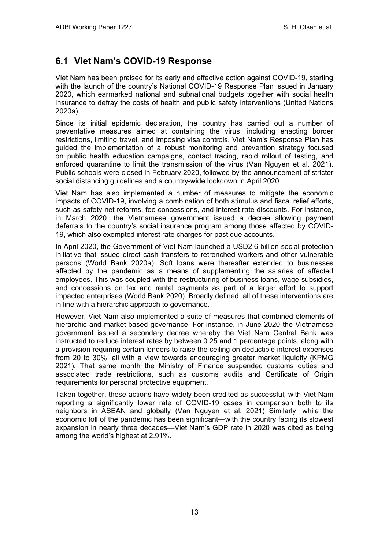## <span id="page-16-0"></span>**6.1 Viet Nam's COVID-19 Response**

Viet Nam has been praised for its early and effective action against COVID-19, starting with the launch of the country's National COVID-19 Response Plan issued in January 2020, which earmarked national and subnational budgets together with social health insurance to defray the costs of health and public safety interventions (United Nations 2020a).

Since its initial epidemic declaration, the country has carried out a number of preventative measures aimed at containing the virus, including enacting border restrictions, limiting travel, and imposing visa controls. Viet Nam's Response Plan has guided the implementation of a robust monitoring and prevention strategy focused on public health education campaigns, contact tracing, rapid rollout of testing, and enforced quarantine to limit the transmission of the virus (Van Nguyen et al. 2021). Public schools were closed in February 2020, followed by the announcement of stricter social distancing guidelines and a country-wide lockdown in April 2020.

Viet Nam has also implemented a number of measures to mitigate the economic impacts of COVID-19, involving a combination of both stimulus and fiscal relief efforts, such as safety net reforms, fee concessions, and interest rate discounts. For instance, in March 2020, the Vietnamese government issued a decree allowing payment deferrals to the country's social insurance program among those affected by COVID-19, which also exempted interest rate charges for past due accounts.

In April 2020, the Government of Viet Nam launched a USD2.6 billion social protection initiative that issued direct cash transfers to retrenched workers and other vulnerable persons (World Bank 2020a). Soft loans were thereafter extended to businesses affected by the pandemic as a means of supplementing the salaries of affected employees. This was coupled with the restructuring of business loans, wage subsidies, and concessions on tax and rental payments as part of a larger effort to support impacted enterprises (World Bank 2020). Broadly defined, all of these interventions are in line with a hierarchic approach to governance.

However, Viet Nam also implemented a suite of measures that combined elements of hierarchic and market-based governance. For instance, in June 2020 the Vietnamese government issued a secondary decree whereby the Viet Nam Central Bank was instructed to reduce interest rates by between 0.25 and 1 percentage points, along with a provision requiring certain lenders to raise the ceiling on deductible interest expenses from 20 to 30%, all with a view towards encouraging greater market liquidity (KPMG 2021). That same month the Ministry of Finance suspended customs duties and associated trade restrictions, such as customs audits and Certificate of Origin requirements for personal protective equipment.

Taken together, these actions have widely been credited as successful, with Viet Nam reporting a significantly lower rate of COVID-19 cases in comparison both to its neighbors in ASEAN and globally (Van Nguyen et al. 2021) Similarly, while the economic toll of the pandemic has been significant—with the country facing its slowest expansion in nearly three decades—Viet Nam's GDP rate in 2020 was cited as being among the world's highest at 2.91%.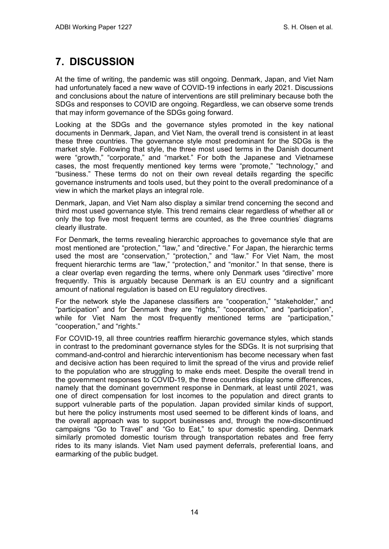# <span id="page-17-0"></span>**7. DISCUSSION**

At the time of writing, the pandemic was still ongoing. Denmark, Japan, and Viet Nam had unfortunately faced a new wave of COVID-19 infections in early 2021. Discussions and conclusions about the nature of interventions are still preliminary because both the SDGs and responses to COVID are ongoing. Regardless, we can observe some trends that may inform governance of the SDGs going forward.

Looking at the SDGs and the governance styles promoted in the key national documents in Denmark, Japan, and Viet Nam, the overall trend is consistent in at least these three countries. The governance style most predominant for the SDGs is the market style. Following that style, the three most used terms in the Danish document were "growth," "corporate," and "market." For both the Japanese and Vietnamese cases, the most frequently mentioned key terms were "promote," "technology," and "business." These terms do not on their own reveal details regarding the specific governance instruments and tools used, but they point to the overall predominance of a view in which the market plays an integral role.

Denmark, Japan, and Viet Nam also display a similar trend concerning the second and third most used governance style. This trend remains clear regardless of whether all or only the top five most frequent terms are counted, as the three countries' diagrams clearly illustrate.

For Denmark, the terms revealing hierarchic approaches to governance style that are most mentioned are "protection," "law," and "directive." For Japan, the hierarchic terms used the most are "conservation," "protection," and "law." For Viet Nam, the most frequent hierarchic terms are "law," "protection," and "monitor." In that sense, there is a clear overlap even regarding the terms, where only Denmark uses "directive" more frequently. This is arguably because Denmark is an EU country and a significant amount of national regulation is based on EU regulatory directives.

For the network style the Japanese classifiers are "cooperation," "stakeholder," and "participation" and for Denmark they are "rights," "cooperation," and "participation", while for Viet Nam the most frequently mentioned terms are "participation," "cooperation," and "rights."

For COVID-19, all three countries reaffirm hierarchic governance styles, which stands in contrast to the predominant governance styles for the SDGs. It is not surprising that command-and-control and hierarchic interventionism has become necessary when fast and decisive action has been required to limit the spread of the virus and provide relief to the population who are struggling to make ends meet. Despite the overall trend in the government responses to COVID-19, the three countries display some differences, namely that the dominant government response in Denmark, at least until 2021, was one of direct compensation for lost incomes to the population and direct grants to support vulnerable parts of the population. Japan provided similar kinds of support, but here the policy instruments most used seemed to be different kinds of loans, and the overall approach was to support businesses and, through the now-discontinued campaigns "Go to Travel" and "Go to Eat," to spur domestic spending. Denmark similarly promoted domestic tourism through transportation rebates and free ferry rides to its many islands. Viet Nam used payment deferrals, preferential loans, and earmarking of the public budget.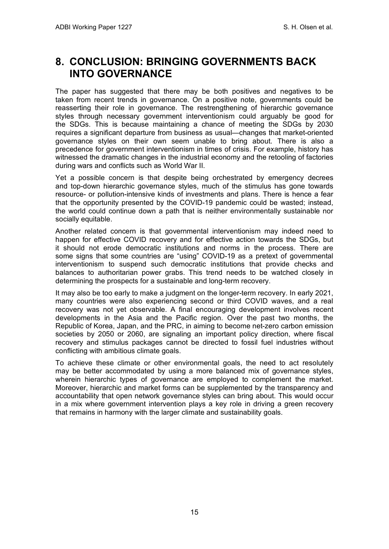# <span id="page-18-0"></span>**8. CONCLUSION: BRINGING GOVERNMENTS BACK INTO GOVERNANCE**

The paper has suggested that there may be both positives and negatives to be taken from recent trends in governance. On a positive note, governments could be reasserting their role in governance. The restrengthening of hierarchic governance styles through necessary government interventionism could arguably be good for the SDGs. This is because maintaining a chance of meeting the SDGs by 2030 requires a significant departure from business as usual—changes that market-oriented governance styles on their own seem unable to bring about. There is also a precedence for government interventionism in times of crisis. For example, history has witnessed the dramatic changes in the industrial economy and the retooling of factories during wars and conflicts such as World War II.

Yet a possible concern is that despite being orchestrated by emergency decrees and top-down hierarchic governance styles, much of the stimulus has gone towards resource- or pollution-intensive kinds of investments and plans. There is hence a fear that the opportunity presented by the COVID-19 pandemic could be wasted; instead, the world could continue down a path that is neither environmentally sustainable nor socially equitable.

Another related concern is that governmental interventionism may indeed need to happen for effective COVID recovery and for effective action towards the SDGs, but it should not erode democratic institutions and norms in the process. There are some signs that some countries are "using" COVID-19 as a pretext of governmental interventionism to suspend such democratic institutions that provide checks and balances to authoritarian power grabs. This trend needs to be watched closely in determining the prospects for a sustainable and long-term recovery.

It may also be too early to make a judgment on the longer-term recovery. In early 2021, many countries were also experiencing second or third COVID waves, and a real recovery was not yet observable. A final encouraging development involves recent developments in the Asia and the Pacific region. Over the past two months, the Republic of Korea, Japan, and the PRC, in aiming to become net-zero carbon emission societies by 2050 or 2060, are signaling an important policy direction, where fiscal recovery and stimulus packages cannot be directed to fossil fuel industries without conflicting with ambitious climate goals.

To achieve these climate or other environmental goals, the need to act resolutely may be better accommodated by using a more balanced mix of governance styles, wherein hierarchic types of governance are employed to complement the market. Moreover, hierarchic and market forms can be supplemented by the transparency and accountability that open network governance styles can bring about. This would occur in a mix where government intervention plays a key role in driving a green recovery that remains in harmony with the larger climate and sustainability goals.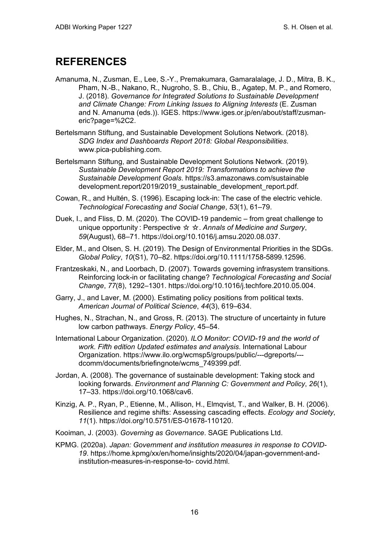## <span id="page-19-0"></span>**REFERENCES**

- Amanuma, N., Zusman, E., Lee, S.-Y., Premakumara, Gamaralalage, J. D., Mitra, B. K., Pham, N.-B., Nakano, R., Nugroho, S. B., Chiu, B., Agatep, M. P., and Romero, J. (2018). *Governance for Integrated Solutions to Sustainable Development and Climate Change: From Linking Issues to Aligning Interests* (E. Zusman and N. Amanuma (eds.)). IGES. https://www.iges.or.jp/en/about/staff/zusmaneric?page=%2C2.
- Bertelsmann Stiftung, and Sustainable Development Solutions Network. (2018). *SDG Index and Dashboards Report 2018: Global Responsibilities*. www.pica-publishing.com.
- Bertelsmann Stiftung, and Sustainable Development Solutions Network. (2019). *Sustainable Development Report 2019: Transformations to achieve the Sustainable Development Goals*. https://s3.amazonaws.com/sustainable development.report/2019/2019\_sustainable\_development\_report.pdf.
- Cowan, R., and Hultén, S. (1996). Escaping lock-in: The case of the electric vehicle. *Technological Forecasting and Social Change*, *53*(1), 61–79.
- Duek, I., and Fliss, D. M. (2020). The COVID-19 pandemic from great challenge to unique opportunity : Perspective ☆ ☆. *Annals of Medicine and Surgery*, *59*(August), 68–71. https://doi.org/10.1016/j.amsu.2020.08.037.
- Elder, M., and Olsen, S. H. (2019). The Design of Environmental Priorities in the SDGs. *Global Policy*, *10*(S1), 70–82. https://doi.org/10.1111/1758-5899.12596.
- Frantzeskaki, N., and Loorbach, D. (2007). Towards governing infrasystem transitions. Reinforcing lock-in or facilitating change? *Technological Forecasting and Social Change*, *77*(8), 1292–1301. https://doi.org/10.1016/j.techfore.2010.05.004.
- Garry, J., and Laver, M. (2000). Estimating policy positions from political texts. *American Journal of Political Science*, *44*(3), 619–634.
- Hughes, N., Strachan, N., and Gross, R. (2013). The structure of uncertainty in future low carbon pathways. *Energy Policy*, 45–54.
- International Labour Organization. (2020). *ILO Monitor: COVID-19 and the world of work. Fifth edition Updated estimates and analysis*. International Labour Organization. https://www.ilo.org/wcmsp5/groups/public/---dgreports/-- dcomm/documents/briefingnote/wcms\_749399.pdf.
- Jordan, A. (2008). The governance of sustainable development: Taking stock and looking forwards. *Environment and Planning C: Government and Policy*, *26*(1), 17–33. https://doi.org/10.1068/cav6.
- Kinzig, A. P., Ryan, P., Etienne, M., Allison, H., Elmqvist, T., and Walker, B. H. (2006). Resilience and regime shifts: Assessing cascading effects. *Ecology and Society*, *11*(1). https://doi.org/10.5751/ES-01678-110120.
- Kooiman, J. (2003). *Governing as Governance*. SAGE Publications Ltd.
- KPMG. (2020a). *Japan: Government and institution measures in response to COVID-19*. https://home.kpmg/xx/en/home/insights/2020/04/japan-government-andinstitution-measures-in-response-to- covid.html.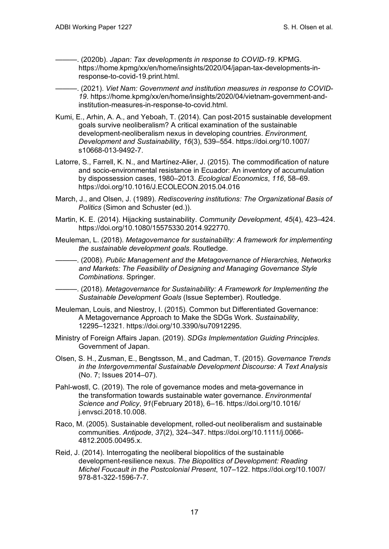———. (2020b). *Japan: Tax developments in response to COVID-19*. KPMG. https://home.kpmg/xx/en/home/insights/2020/04/japan-tax-developments-inresponse-to-covid-19.print.html.

-. (2021). Viet Nam: Government and institution measures in response to COVID-*19*. https://home.kpmg/xx/en/home/insights/2020/04/vietnam-government-andinstitution-measures-in-response-to-covid.html.

- Kumi, E., Arhin, A. A., and Yeboah, T. (2014). Can post-2015 sustainable development goals survive neoliberalism? A critical examination of the sustainable development-neoliberalism nexus in developing countries. *Environment, Development and Sustainability*, *16*(3), 539–554. https://doi.org/10.1007/ s10668-013-9492-7.
- Latorre, S., Farrell, K. N., and Martínez-Alier, J. (2015). The commodification of nature and socio-environmental resistance in Ecuador: An inventory of accumulation by dispossession cases, 1980–2013. *Ecological Economics*, *116*, 58–69. https://doi.org/10.1016/J.ECOLECON.2015.04.016
- March, J., and Olsen, J. (1989). *Rediscovering institutions: The Organizational Basis of Politics* (Simon and Schuster (ed.)).
- Martin, K. E. (2014). Hijacking sustainability. *Community Development*, *45*(4), 423–424. https://doi.org/10.1080/15575330.2014.922770.
- Meuleman, L. (2018). *Metagovernance for sustainability: A framework for implementing the sustainable development goals.* Routledge.
- ———. (2008). *Public Management and the Metagovernance of Hierarchies, Networks and Markets: The Feasibility of Designing and Managing Governance Style Combinations*. Springer.
- ———. (2018). *Metagovernance for Sustainability: A Framework for Implementing the Sustainable Development Goals* (Issue September). Routledge.
- Meuleman, Louis, and Niestroy, I. (2015). Common but Differentiated Governance: A Metagovernance Approach to Make the SDGs Work. *Sustainability*, 12295–12321. https://doi.org/10.3390/su70912295.
- Ministry of Foreign Affairs Japan. (2019). *SDGs Implementation Guiding Principles*. Government of Japan.
- Olsen, S. H., Zusman, E., Bengtsson, M., and Cadman, T. (2015). *Governance Trends in the Intergovernmental Sustainable Development Discourse: A Text Analysis* (No. 7; Issues 2014–07).
- Pahl-wostl, C. (2019). The role of governance modes and meta-governance in the transformation towards sustainable water governance. *Environmental Science and Policy*, *91*(February 2018), 6–16. https://doi.org/10.1016/ j.envsci.2018.10.008.
- Raco, M. (2005). Sustainable development, rolled-out neoliberalism and sustainable communities. *Antipode*, *37*(2), 324–347. https://doi.org/10.1111/j.0066- 4812.2005.00495.x.
- Reid, J. (2014). Interrogating the neoliberal biopolitics of the sustainable development-resilience nexus. *The Biopolitics of Development: Reading Michel Foucault in the Postcolonial Present*, 107–122. https://doi.org/10.1007/ 978-81-322-1596-7-7.